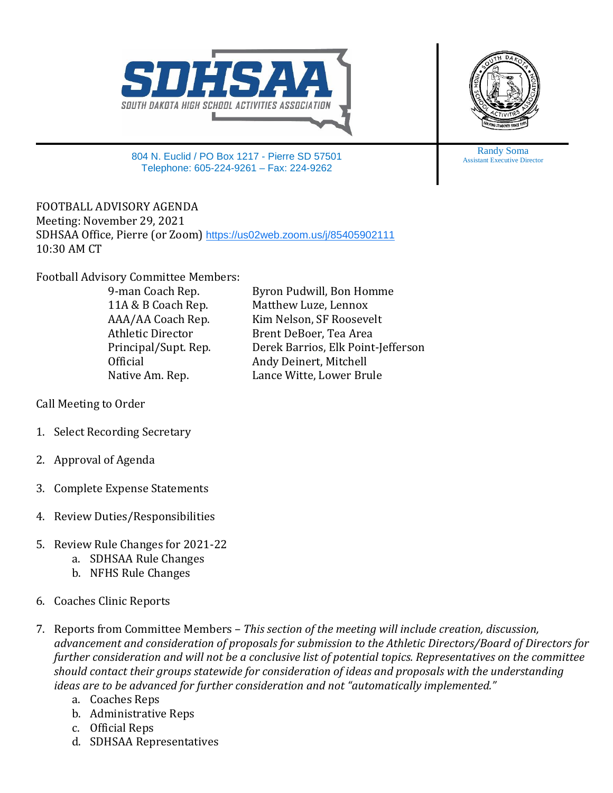



804 N. Euclid / PO Box 1217 - Pierre SD 57501 Telephone: 605-224-9261 – Fax: 224-9262

FOOTBALL ADVISORY AGENDA Meeting: November 29, 2021 SDHSAA Office, Pierre (or Zoom) <https://us02web.zoom.us/j/85405902111> 10:30 AM CT

Football Advisory Committee Members:

9-man Coach Rep. Byron Pudwill, Bon Homme<br>11A & B Coach Rep. Matthew Luze, Lennox 11A & B Coach Rep. Matthew Luze, Lennox<br>AAA/AA Coach Rep. Kim Nelson, SF Roosev AAA/AA Coach Rep. Kim Nelson, SF Roosevelt Athletic Director Brent DeBoer, Tea Area<br>Principal/Supt. Rep. Derek Barrios, Elk Point Principal/Supt. Rep. Derek Barrios, Elk Point-Jefferson Official **Andy Deinert, Mitchell**<br>
Native Am. Rep. **And Lance Witte, Lower Bru** Lance Witte, Lower Brule

Call Meeting to Order

- 1. Select Recording Secretary
- 2. Approval of Agenda
- 3. Complete Expense Statements
- 4. Review Duties/Responsibilities
- 5. Review Rule Changes for 2021-22
	- a. SDHSAA Rule Changes
	- b. NFHS Rule Changes
- 6. Coaches Clinic Reports
- 7. Reports from Committee Members *This section of the meeting will include creation, discussion, advancement and consideration of proposals for submission to the Athletic Directors/Board of Directors for further consideration and will not be a conclusive list of potential topics. Representatives on the committee should contact their groups statewide for consideration of ideas and proposals with the understanding ideas are to be advanced for further consideration and not "automatically implemented."*
	- a. Coaches Reps
	- b. Administrative Reps
	- c. Official Reps
	- d. SDHSAA Representatives

Randy Soma Assistant Executive Director